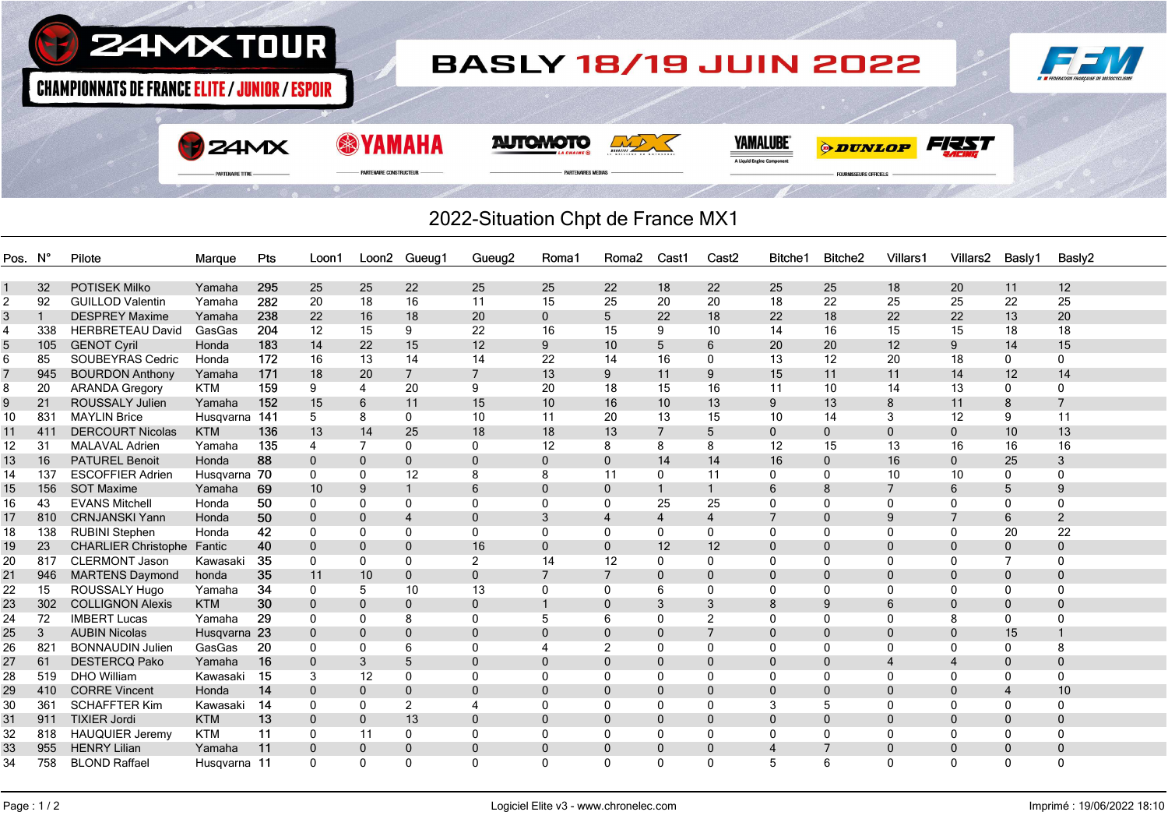

## 2022-Situation Chpt de France MX1

| Pos. N' |                | Pilote                     | Marque       | Pts | Loon1        | Loon2 Gueug1 |                | Gueug <sub>2</sub> | Roma1                 | Roma <sub>2</sub> | Cast1          | Cast <sub>2</sub> | Bitche1      | Bitche <sub>2</sub> | Villars1       | Villars <sub>2</sub> | Basly1         | Basly2         |
|---------|----------------|----------------------------|--------------|-----|--------------|--------------|----------------|--------------------|-----------------------|-------------------|----------------|-------------------|--------------|---------------------|----------------|----------------------|----------------|----------------|
|         |                |                            |              |     |              |              |                |                    |                       |                   |                |                   |              |                     |                |                      |                |                |
|         | 32             | <b>POTISEK Milko</b>       | Yamaha       | 295 | 25           | 25           | 22             | 25                 | 25                    | 22                | 18             | 22                | 25           | 25                  | 18             | 20                   | 11             | 12             |
| 2       | 92             | <b>GUILLOD Valentin</b>    | Yamaha       | 282 | 20           | 18           | 16             | 11                 | 15                    | 25                | 20             | 20                | 18           | 22                  | 25             | 25                   | 22             | 25             |
| 3       | $\overline{1}$ | <b>DESPREY Maxime</b>      | Yamaha       | 238 | 22           | 16           | 18             | 20                 | $\mathbf{0}$          | 5                 | 22             | 18                | 22           | 18                  | 22             | 22                   | 13             | 20             |
| 4       | 338            | <b>HERBRETEAU David</b>    | GasGas       | 204 | 12           | 15           | 9              | 22                 | 16                    | 15                | 9              | 10                | 14           | 16                  | 15             | 15                   | 18             | 18             |
| 5       | 105            | <b>GENOT Cyril</b>         | Honda        | 183 | 14           | 22           | 15             | 12                 | 9                     | 10                | 5              | 6                 | 20           | 20                  | 12             | 9                    | 14             | 15             |
| 6       | 85             | SOUBEYRAS Cedric           | Honda        | 172 | 16           | 13           | 14             | 14                 | 22                    | 14                | 16             | $\mathbf{0}$      | 13           | 12                  | 20             | 18                   | 0              | 0              |
|         | 945            | <b>BOURDON Anthony</b>     | Yamaha       | 171 | 18           | 20           | $\overline{7}$ | $\overline{7}$     | 13                    | 9                 | 11             | 9                 | 15           | 11                  | 11             | 14                   | $12 \,$        | 14             |
| 8       | 20             | <b>ARANDA Gregory</b>      | <b>KTM</b>   | 159 | 9            | 4            | 20             | 9                  | 20                    | 18                | 15             | 16                | 11           | 10                  | 14             | 13                   | 0              | 0              |
| 9       | 21             | <b>ROUSSALY Julien</b>     | Yamaha       | 152 | 15           | 6            | 11             | 15                 | 10                    | 16                | 10             | 13                | 9            | 13                  | 8              | 11                   | 8              | 7              |
| 10      | 831            | <b>MAYLIN Brice</b>        | Husgvarna    | 141 | 5            | 8            | 0              | 10                 | 11                    | 20                | 13             | 15                | 10           | 14                  | 3              | 12                   | 9              | 11             |
| 11      | 411            | <b>DERCOURT Nicolas</b>    | <b>KTM</b>   | 136 | 13           | 14           | 25             | 18                 | 18                    | 13                | $\overline{7}$ | 5                 | $\mathbf{0}$ | $\mathbf{0}$        | $\mathbf{0}$   | $\mathbf{0}$         | 10             | 13             |
| 12      | 31             | <b>MALAVAL Adrien</b>      | Yamaha       | 135 | 4            | 7            | 0              | 0                  | 12                    | 8                 | 8              | 8                 | 12           | 15                  | 13             | 16                   | 16             | 16             |
| 13      | 16             | <b>PATUREL Benoit</b>      | Honda        | 88  | $\mathbf{0}$ | $\Omega$     | $\mathbf{0}$   | $\Omega$           | $\Omega$              | $\Omega$          | 14             | 14                | 16           | $\mathbf{0}$        | 16             | $\Omega$             | 25             | 3              |
| 14      | 137            | <b>ESCOFFIER Adrien</b>    | Husqvarna 70 |     | 0            | 0            | 12             | 8                  | 8                     | 11                | 0              | 11                | $\Omega$     | 0                   | 10             | 10                   | 0              | 0              |
| 15      | 156            | <b>SOT Maxime</b>          | Yamaha       | 69  | 10           | 9            | $\mathbf{1}$   | 6                  | $\mathbf{0}$          | $\mathbf 0$       |                |                   |              |                     | $\overline{7}$ | 6                    | 5              | 9              |
| 16      | 43             | <b>EVANS Mitchell</b>      | Honda        | 50  | 0            | $\Omega$     | 0              | 0                  | $\Omega$              | 0                 | 25             | 25                |              | $\Omega$            | 0              | $\Omega$             | $\Omega$       | 0              |
| 17      | 810            | <b>CRNJANSKI Yann</b>      | Honda        | 50  | $\mathbf 0$  | $\Omega$     | $\overline{4}$ | $\mathbf 0$        | 3                     | 4                 | $\overline{4}$ | $\overline{4}$    |              | $\mathbf{0}$        | 9              | 7                    | 6              | 2              |
| 18      | 138            | <b>RUBINI Stephen</b>      | Honda        | 42  | 0            | $\mathbf{0}$ | 0              | $\mathbf{0}$       | $\Omega$              | $\Omega$          | 0              | $\mathbf{0}$      | $\Omega$     | $\Omega$            | $\Omega$       | $\mathbf{0}$         | 20             | 22             |
| 19      | 23             | <b>CHARLIER Christophe</b> | Fantic       | 40  | 0            | $\mathbf{0}$ | $\mathbf 0$    | 16                 | $\mathbf{0}$          | $\mathbf 0$       | 12             | 12                |              | $\mathbf{0}$        | $\mathbf 0$    | $\mathbf 0$          | $\mathbf 0$    | $\mathbf 0$    |
| 20      | 817            | <b>CLERMONT Jason</b>      | Kawasaki     | 35  | 0            | 0            | 0              | 2                  | 14                    | 12                | 0              | 0                 |              | 0                   | $\mathbf{0}$   | $\mathbf{0}$         | 7              | 0              |
| 21      | 946            | <b>MARTENS Daymond</b>     | honda        | 35  | 11           | 10           | $\mathbf 0$    | $\mathbf 0$        | $\overline{7}$        | 7                 | $\mathbf 0$    | $\Omega$          |              | $\mathbf 0$         | 0              | $\mathbf 0$          | $\mathbf 0$    | 0              |
| 22      | 15             | <b>ROUSSALY Hugo</b>       | Yamaha       | 34  | 0            | 5            | 10             | 13                 | $\Omega$              | $\mathbf{0}$      | 6              | $\Omega$          | $\Omega$     | $\mathbf{0}$        | $\Omega$       | $\Omega$             | 0              | 0              |
| 23      | 302            | <b>COLLIGNON Alexis</b>    | <b>KTM</b>   | 30  | $\mathbf{0}$ | $\Omega$     | $\mathbf 0$    | $\mathbf 0$        |                       | 0                 | 3              | 3                 |              | 9                   | 6              | $\mathbf{0}$         | $\mathbf 0$    | $\mathbf 0$    |
| 24      | 72             | <b>IMBERT Lucas</b>        | Yamaha       | 29  | 0            | 0            | 8              | $\mathbf{0}$       | 5                     | 6                 | $\mathbf{0}$   | 2                 | $\Omega$     | $\mathbf{0}$        | 0              | 8                    | 0              | 0              |
| 25      | 3              | <b>AUBIN Nicolas</b>       | Husqvarna 23 |     | $\mathbf{0}$ | $\Omega$     | $\mathbf 0$    | $\mathbf{0}$       | $\Omega$              | $\mathbf 0$       | $\mathbf 0$    |                   |              | $\mathbf 0$         | 0              | $\Omega$             | 15             |                |
| 26      | 821            | <b>BONNAUDIN Julien</b>    | GasGas       | 20  | 0            | $\Omega$     | 6              | $\Omega$           | $\boldsymbol{\Delta}$ | 2                 | $\mathbf{0}$   | $\Omega$          |              | $\Omega$            | $\Omega$       | $\Omega$             | 0              | 8              |
| 27      | 61             | <b>DESTERCQ Pako</b>       | Yamaha       | 16  | $\Omega$     | 3            | 5              | $\Omega$           | $\Omega$              | $\Omega$          | $\mathbf{0}$   | $\Omega$          |              | $\Omega$            | 4              | 4                    | $\mathbf{0}$   | $\mathbf{0}$   |
| 28      | 519            | <b>DHO William</b>         | Kawasaki     | 15  | 3            | 12           | $\mathbf{0}$   | $\mathbf{0}$       | $\Omega$              | $\mathbf{0}$      | $\mathbf{0}$   | $\Omega$          |              | $\Omega$            | $\Omega$       | $\Omega$             | 0              | $\mathbf{0}$   |
| 29      | 410            | <b>CORRE Vincent</b>       | Honda        | 14  | $\Omega$     | $\mathbf{0}$ | $\mathbf{0}$   | $\mathbf{0}$       | $\Omega$              | $\Omega$          | $\mathbf{0}$   | $\Omega$          |              | $\Omega$            | $\Omega$       | $\Omega$             | $\overline{4}$ | 10             |
| 30      | 361            | <b>SCHAFFTER Kim</b>       | Kawasaki     | 14  | $\Omega$     | $\Omega$     | 2              | $\overline{4}$     | $\Omega$              | $\Omega$          | 0              | $\Omega$          | 3            | .5                  | $\Omega$       | <sup>0</sup>         | $\Omega$       | 0              |
| 31      | 911            | <b>TIXIER Jordi</b>        | <b>KTM</b>   | 13  | $\mathbf{0}$ | $\mathbf{0}$ | 13             | $\mathbf{0}$       | $\Omega$              | $\Omega$          | $\mathbf{0}$   | $\Omega$          |              | $\Omega$            | $\Omega$       | $\Omega$             | $\Omega$       | $\overline{0}$ |
| 32      | 818            | <b>HAUQUIER Jeremy</b>     | <b>KTM</b>   | 11  | 0            | 11           | 0              | $\Omega$           | $\Omega$              | 0                 | $\Omega$       | $\Omega$          |              | 0                   | 0              | $\Omega$             | $\Omega$       | $\Omega$       |
| 33      | 955            | <b>HENRY Lilian</b>        | Yamaha       | 11  | $\mathbf{0}$ | $\mathbf{0}$ | 0              | $\mathbf 0$        | $\mathbf{0}$          | $\Omega$          | $\mathbf 0$    | $\Omega$          |              |                     | 0              | $\mathbf{0}$         | $\mathbf 0$    | 0              |
| 34      | 758            | <b>BLOND Raffael</b>       | Husqvarna 11 |     | 0            | $\Omega$     | 0              | $\Omega$           | $\Omega$              | $\Omega$          | $\mathbf{0}$   | $\Omega$          |              | 6                   | 0              | $\Omega$             | 0              | 0              |
|         |                |                            |              |     |              |              |                |                    |                       |                   |                |                   |              |                     |                |                      |                |                |